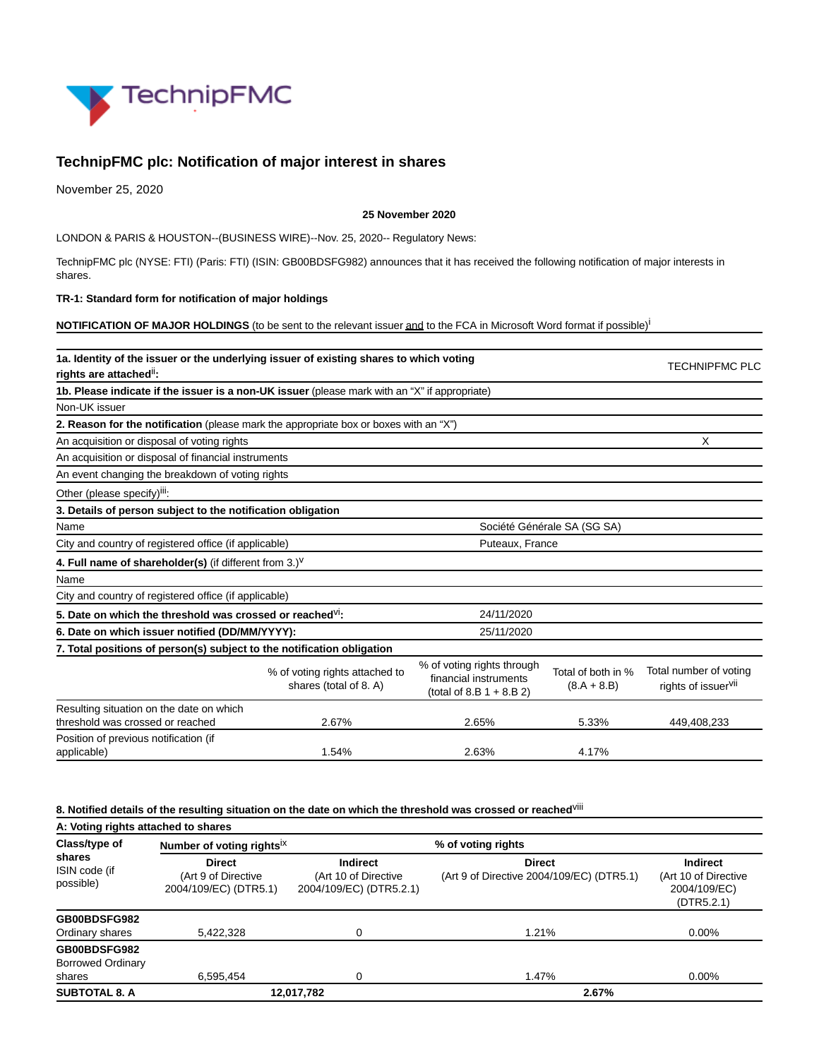

# **TechnipFMC plc: Notification of major interest in shares**

November 25, 2020

### **25 November 2020**

LONDON & PARIS & HOUSTON--(BUSINESS WIRE)--Nov. 25, 2020-- Regulatory News:

TechnipFMC plc (NYSE: FTI) (Paris: FTI) (ISIN: GB00BDSFG982) announces that it has received the following notification of major interests in shares.

### **TR-1: Standard form for notification of major holdings**

**NOTIFICATION OF MAJOR HOLDINGS** (to be sent to the relevant issuer and to the FCA in Microsoft Word format if possible)<sup>i</sup>

| 1a. Identity of the issuer or the underlying issuer of existing shares to which voting<br>rights are attached": |                                                          |                                                                                    |                                     |                                                           |  |
|-----------------------------------------------------------------------------------------------------------------|----------------------------------------------------------|------------------------------------------------------------------------------------|-------------------------------------|-----------------------------------------------------------|--|
| 1b. Please indicate if the issuer is a non-UK issuer (please mark with an "X" if appropriate)                   |                                                          |                                                                                    |                                     |                                                           |  |
| Non-UK issuer                                                                                                   |                                                          |                                                                                    |                                     |                                                           |  |
| 2. Reason for the notification (please mark the appropriate box or boxes with an "X")                           |                                                          |                                                                                    |                                     |                                                           |  |
| An acquisition or disposal of voting rights                                                                     | X                                                        |                                                                                    |                                     |                                                           |  |
| An acquisition or disposal of financial instruments                                                             |                                                          |                                                                                    |                                     |                                                           |  |
| An event changing the breakdown of voting rights                                                                |                                                          |                                                                                    |                                     |                                                           |  |
| Other (please specify) <sup>iii</sup> :                                                                         |                                                          |                                                                                    |                                     |                                                           |  |
| 3. Details of person subject to the notification obligation                                                     |                                                          |                                                                                    |                                     |                                                           |  |
| Name                                                                                                            | Société Générale SA (SG SA)                              |                                                                                    |                                     |                                                           |  |
| City and country of registered office (if applicable)                                                           |                                                          | Puteaux, France                                                                    |                                     |                                                           |  |
| 4. Full name of shareholder(s) (if different from $3.$ ) <sup>V</sup>                                           |                                                          |                                                                                    |                                     |                                                           |  |
| Name                                                                                                            |                                                          |                                                                                    |                                     |                                                           |  |
| City and country of registered office (if applicable)                                                           |                                                          |                                                                                    |                                     |                                                           |  |
| 5. Date on which the threshold was crossed or reached <sup>VI</sup> :                                           |                                                          |                                                                                    |                                     |                                                           |  |
| 6. Date on which issuer notified (DD/MM/YYYY):                                                                  | 25/11/2020                                               |                                                                                    |                                     |                                                           |  |
| 7. Total positions of person(s) subject to the notification obligation                                          |                                                          |                                                                                    |                                     |                                                           |  |
|                                                                                                                 | % of voting rights attached to<br>shares (total of 8. A) | % of voting rights through<br>financial instruments<br>(total of 8.B $1 + 8.B 2$ ) | Total of both in %<br>$(8.A + 8.B)$ | Total number of voting<br>rights of issuer <sup>vii</sup> |  |
| Resulting situation on the date on which                                                                        |                                                          |                                                                                    |                                     |                                                           |  |
| threshold was crossed or reached                                                                                | 2.67%                                                    | 2.65%                                                                              | 5.33%                               | 449,408,233                                               |  |
| Position of previous notification (if<br>applicable)                                                            | 1.54%                                                    | 2.63%                                                                              | 4.17%                               |                                                           |  |

## **8. Notified details of the resulting situation on the date on which the threshold was crossed or reached**viii

**A: Voting rights attached to shares Class/type of shares** ISIN code (if possible) **Number of voting rights**ix **% of voting rights Direct** (Art 9 of Directive 2004/109/EC) (DTR5.1) **Indirect** (Art 10 of Directive 2004/109/EC) (DTR5.2.1) **Direct** (Art 9 of Directive 2004/109/EC) (DTR5.1) **Indirect** (Art 10 of Directive 2004/109/EC) (DTR5.2.1) **GB00BDSFG982** Ordinary shares 5,422,328 0 0 1.21% 0.00% 0.00% **GB00BDSFG982** Borrowed Ordinary shares 6,595,454 0 1.47% 0.00% **SUBTOTAL 8. A 12,017,782 2.67%**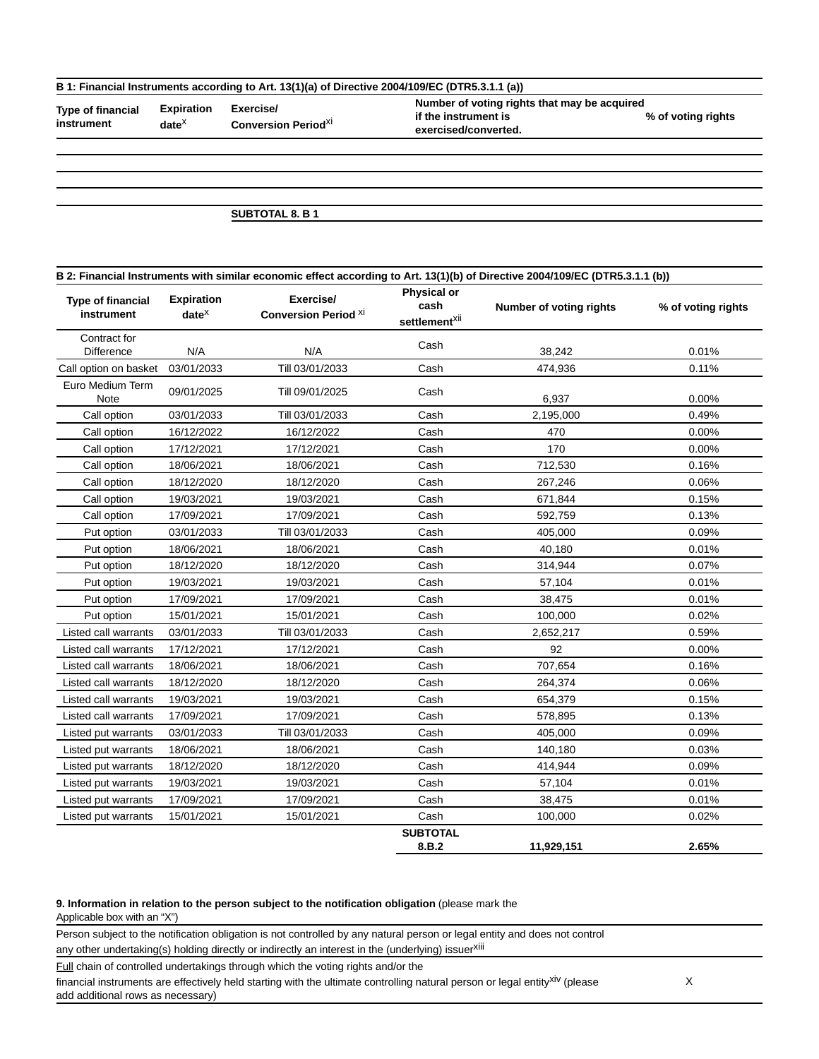### **B 1: Financial Instruments according to Art. 13(1)(a) of Directive 2004/109/EC (DTR5.3.1.1 (a))**

**Type of financial instrument**

**date**x

**Expiration Exercise/ Conversion Period**xi **Number of voting rights that may be acquired if the instrument is exercised/converted.**

**% of voting rights**

**SUBTOTAL 8. B 1**

| B 2: Financial Instruments with similar economic effect according to Art. 13(1)(b) of Directive 2004/109/EC (DTR5.3.1.1 (b)) |                                    |                                          |                                                         |                         |                    |  |
|------------------------------------------------------------------------------------------------------------------------------|------------------------------------|------------------------------------------|---------------------------------------------------------|-------------------------|--------------------|--|
| <b>Type of financial</b><br>instrument                                                                                       | <b>Expiration</b><br>$date^{\chi}$ | Exercise/<br><b>Conversion Period XI</b> | <b>Physical or</b><br>cash<br>settlement <sup>xii</sup> | Number of voting rights | % of voting rights |  |
| Contract for<br><b>Difference</b>                                                                                            | N/A                                | N/A                                      | Cash                                                    | 38,242                  | 0.01%              |  |
| Call option on basket                                                                                                        | 03/01/2033                         | Till 03/01/2033                          | Cash                                                    | 474,936                 | 0.11%              |  |
| Euro Medium Term<br>Note                                                                                                     | 09/01/2025                         | Till 09/01/2025                          | Cash                                                    | 6,937                   | 0.00%              |  |
| Call option                                                                                                                  | 03/01/2033                         | Till 03/01/2033                          | Cash                                                    | 2,195,000               | 0.49%              |  |
| Call option                                                                                                                  | 16/12/2022                         | 16/12/2022                               | Cash                                                    | 470                     | 0.00%              |  |
| Call option                                                                                                                  | 17/12/2021                         | 17/12/2021                               | Cash                                                    | 170                     | 0.00%              |  |
| Call option                                                                                                                  | 18/06/2021                         | 18/06/2021                               | Cash                                                    | 712,530                 | 0.16%              |  |
| Call option                                                                                                                  | 18/12/2020                         | 18/12/2020                               | Cash                                                    | 267,246                 | 0.06%              |  |
| Call option                                                                                                                  | 19/03/2021                         | 19/03/2021                               | Cash                                                    | 671,844                 | 0.15%              |  |
| Call option                                                                                                                  | 17/09/2021                         | 17/09/2021                               | Cash                                                    | 592,759                 | 0.13%              |  |
| Put option                                                                                                                   | 03/01/2033                         | Till 03/01/2033                          | Cash                                                    | 405,000                 | 0.09%              |  |
| Put option                                                                                                                   | 18/06/2021                         | 18/06/2021                               | Cash                                                    | 40,180                  | 0.01%              |  |
| Put option                                                                                                                   | 18/12/2020                         | 18/12/2020                               | Cash                                                    | 314,944                 | 0.07%              |  |
| Put option                                                                                                                   | 19/03/2021                         | 19/03/2021                               | Cash                                                    | 57,104                  | 0.01%              |  |
| Put option                                                                                                                   | 17/09/2021                         | 17/09/2021                               | Cash                                                    | 38,475                  | 0.01%              |  |
| Put option                                                                                                                   | 15/01/2021                         | 15/01/2021                               | Cash                                                    | 100,000                 | 0.02%              |  |
| Listed call warrants                                                                                                         | 03/01/2033                         | Till 03/01/2033                          | Cash                                                    | 2,652,217               | 0.59%              |  |
| Listed call warrants                                                                                                         | 17/12/2021                         | 17/12/2021                               | Cash                                                    | 92                      | 0.00%              |  |
| Listed call warrants                                                                                                         | 18/06/2021                         | 18/06/2021                               | Cash                                                    | 707,654                 | 0.16%              |  |
| Listed call warrants                                                                                                         | 18/12/2020                         | 18/12/2020                               | Cash                                                    | 264,374                 | 0.06%              |  |
| Listed call warrants                                                                                                         | 19/03/2021                         | 19/03/2021                               | Cash                                                    | 654,379                 | 0.15%              |  |
| Listed call warrants                                                                                                         | 17/09/2021                         | 17/09/2021                               | Cash                                                    | 578,895                 | 0.13%              |  |
| Listed put warrants                                                                                                          | 03/01/2033                         | Till 03/01/2033                          | Cash                                                    | 405,000                 | 0.09%              |  |
| Listed put warrants                                                                                                          | 18/06/2021                         | 18/06/2021                               | Cash                                                    | 140,180                 | 0.03%              |  |
| Listed put warrants                                                                                                          | 18/12/2020                         | 18/12/2020                               | Cash                                                    | 414,944                 | 0.09%              |  |
| Listed put warrants                                                                                                          | 19/03/2021                         | 19/03/2021                               | Cash                                                    | 57,104                  | 0.01%              |  |
| Listed put warrants                                                                                                          | 17/09/2021                         | 17/09/2021                               | Cash                                                    | 38,475                  | 0.01%              |  |
| Listed put warrants                                                                                                          | 15/01/2021                         | 15/01/2021                               | Cash                                                    | 100,000                 | 0.02%              |  |
|                                                                                                                              |                                    |                                          | <b>SUBTOTAL</b><br>8.B.2                                | 11,929,151              | 2.65%              |  |

## **9. Information in relation to the person subject to the notification obligation** (please mark the

Applicable box with an "X")

Person subject to the notification obligation is not controlled by any natural person or legal entity and does not control

any other undertaking(s) holding directly or indirectly an interest in the (underlying) issuerxiii

Full chain of controlled undertakings through which the voting rights and/or the

financial instruments are effectively held starting with the ultimate controlling natural person or legal entity<sup>xiv</sup> (please add additional rows as necessary)